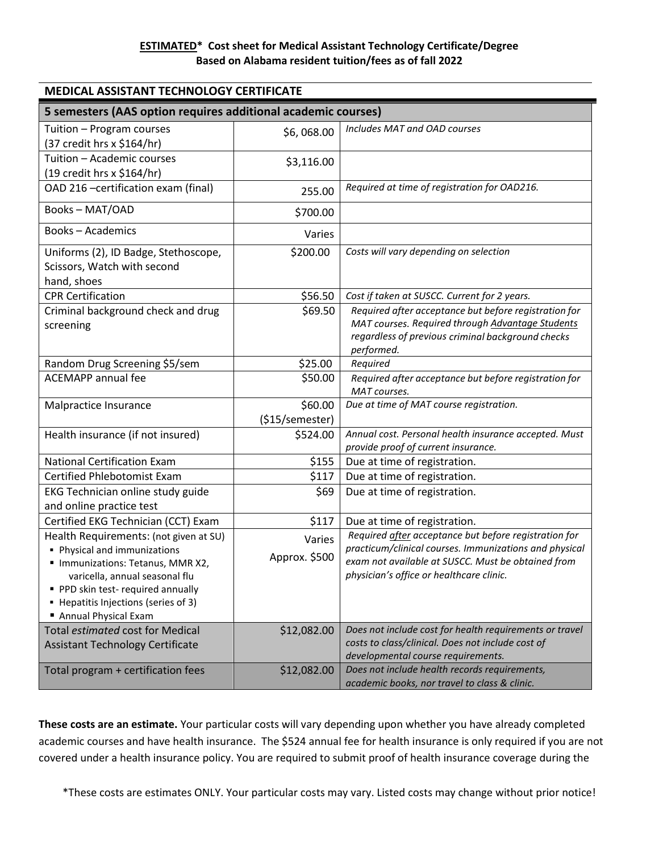| <b>MEDICAL ASSISTANT TECHNOLOGY CERTIFICATE</b>                                                                                                                                                                                                  |                         |                                                                                                                                                                                                                   |  |
|--------------------------------------------------------------------------------------------------------------------------------------------------------------------------------------------------------------------------------------------------|-------------------------|-------------------------------------------------------------------------------------------------------------------------------------------------------------------------------------------------------------------|--|
| 5 semesters (AAS option requires additional academic courses)                                                                                                                                                                                    |                         |                                                                                                                                                                                                                   |  |
| Tuition - Program courses<br>(37 credit hrs x \$164/hr)                                                                                                                                                                                          | \$6,068.00              | Includes MAT and OAD courses                                                                                                                                                                                      |  |
| Tuition - Academic courses<br>(19 credit hrs x \$164/hr)                                                                                                                                                                                         | \$3,116.00              |                                                                                                                                                                                                                   |  |
| OAD 216 -certification exam (final)                                                                                                                                                                                                              | 255.00                  | Required at time of registration for OAD216.                                                                                                                                                                      |  |
| Books-MAT/OAD                                                                                                                                                                                                                                    | \$700.00                |                                                                                                                                                                                                                   |  |
| <b>Books-Academics</b>                                                                                                                                                                                                                           | Varies                  |                                                                                                                                                                                                                   |  |
| Uniforms (2), ID Badge, Stethoscope,<br>Scissors, Watch with second<br>hand, shoes                                                                                                                                                               | \$200.00                | Costs will vary depending on selection                                                                                                                                                                            |  |
| <b>CPR Certification</b>                                                                                                                                                                                                                         | \$56.50                 | Cost if taken at SUSCC. Current for 2 years.                                                                                                                                                                      |  |
| Criminal background check and drug<br>screening                                                                                                                                                                                                  | \$69.50                 | Required after acceptance but before registration for<br>MAT courses. Required through Advantage Students<br>regardless of previous criminal background checks<br>performed.                                      |  |
| Random Drug Screening \$5/sem                                                                                                                                                                                                                    | \$25.00                 | Required                                                                                                                                                                                                          |  |
| <b>ACEMAPP</b> annual fee                                                                                                                                                                                                                        | \$50.00                 | Required after acceptance but before registration for<br>MAT courses.                                                                                                                                             |  |
| Malpractice Insurance                                                                                                                                                                                                                            | \$60.00                 | Due at time of MAT course registration.                                                                                                                                                                           |  |
|                                                                                                                                                                                                                                                  | (\$15/semester)         |                                                                                                                                                                                                                   |  |
| Health insurance (if not insured)                                                                                                                                                                                                                | \$524.00                | Annual cost. Personal health insurance accepted. Must<br>provide proof of current insurance.                                                                                                                      |  |
| <b>National Certification Exam</b>                                                                                                                                                                                                               | \$155                   | Due at time of registration.                                                                                                                                                                                      |  |
| <b>Certified Phlebotomist Exam</b>                                                                                                                                                                                                               | \$117                   | Due at time of registration.                                                                                                                                                                                      |  |
| EKG Technician online study guide<br>and online practice test                                                                                                                                                                                    | \$69                    | Due at time of registration.                                                                                                                                                                                      |  |
| Certified EKG Technician (CCT) Exam                                                                                                                                                                                                              | \$117                   | Due at time of registration.                                                                                                                                                                                      |  |
| Health Requirements: (not given at SU)<br>• Physical and immunizations<br>" Immunizations: Tetanus, MMR X2,<br>varicella, annual seasonal flu<br>PPD skin test-required annually<br>• Hepatitis Injections (series of 3)<br>Annual Physical Exam | Varies<br>Approx. \$500 | Required after acceptance but before registration for<br>practicum/clinical courses. Immunizations and physical<br>exam not available at SUSCC. Must be obtained from<br>physician's office or healthcare clinic. |  |
| <b>Total estimated cost for Medical</b><br><b>Assistant Technology Certificate</b>                                                                                                                                                               | \$12,082.00             | Does not include cost for health requirements or travel<br>costs to class/clinical. Does not include cost of<br>developmental course requirements.                                                                |  |
| Total program + certification fees                                                                                                                                                                                                               | \$12,082.00             | Does not include health records requirements,<br>academic books, nor travel to class & clinic.                                                                                                                    |  |

**These costs are an estimate.** Your particular costs will vary depending upon whether you have already completed academic courses and have health insurance. The \$524 annual fee for health insurance is only required if you are not covered under a health insurance policy. You are required to submit proof of health insurance coverage during the

\*These costs are estimates ONLY. Your particular costs may vary. Listed costs may change without prior notice!